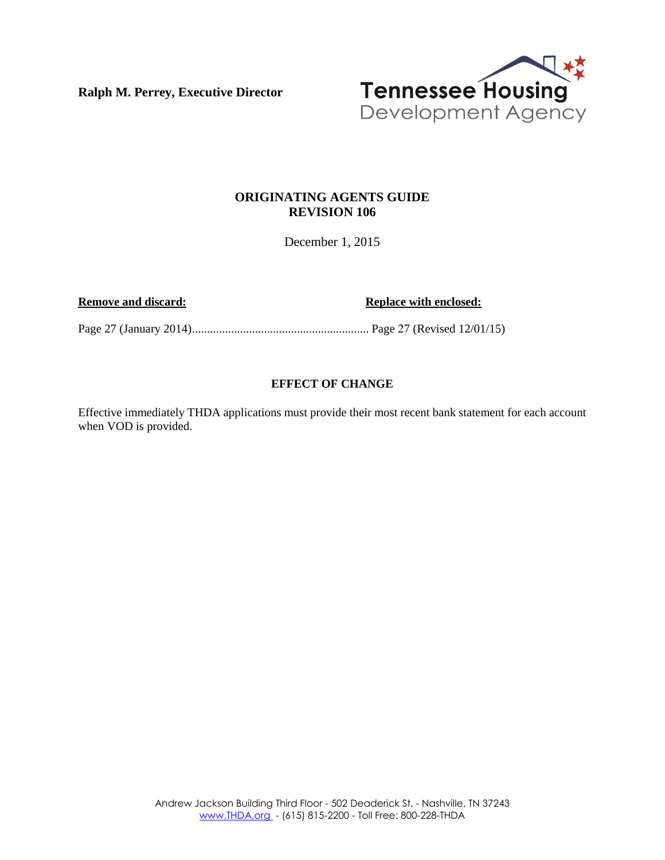**Ralph M. Perrey, Executive Director** 



# **ORIGINATING AGENTS GUIDE REVISION 106**

December 1, 2015

**Remove and discard: Replace with enclosed: Replace with enclosed:** 

Page 27 (January 2014) ........................................................... Page 27 (Revised 12/01/15)

# **EFFECT OF CHANGE**

Effective immediately THDA applications must provide their most recent bank statement for each account when VOD is provided.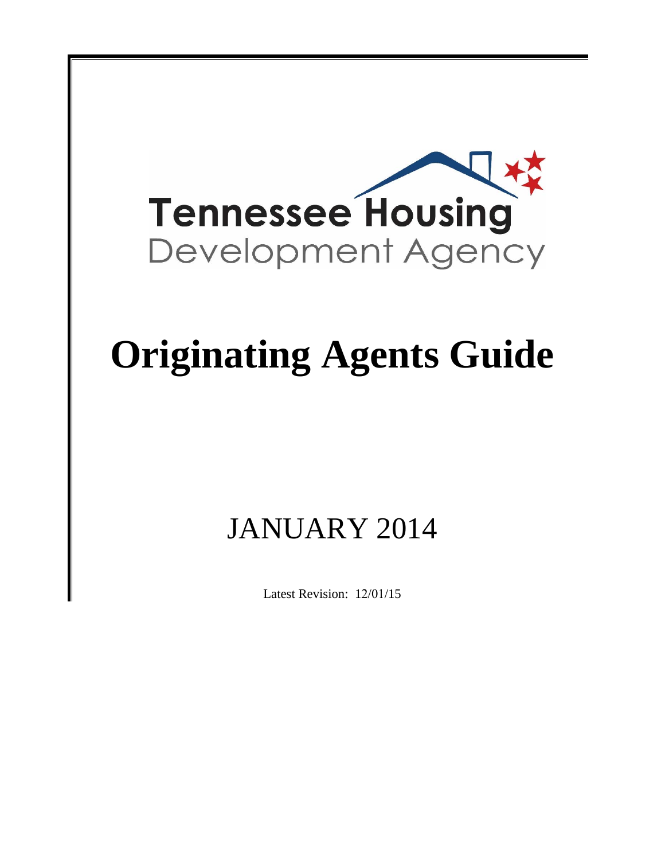

# **Originating Agents Guide**

# JANUARY 2014

Latest Revision: 12/01/15